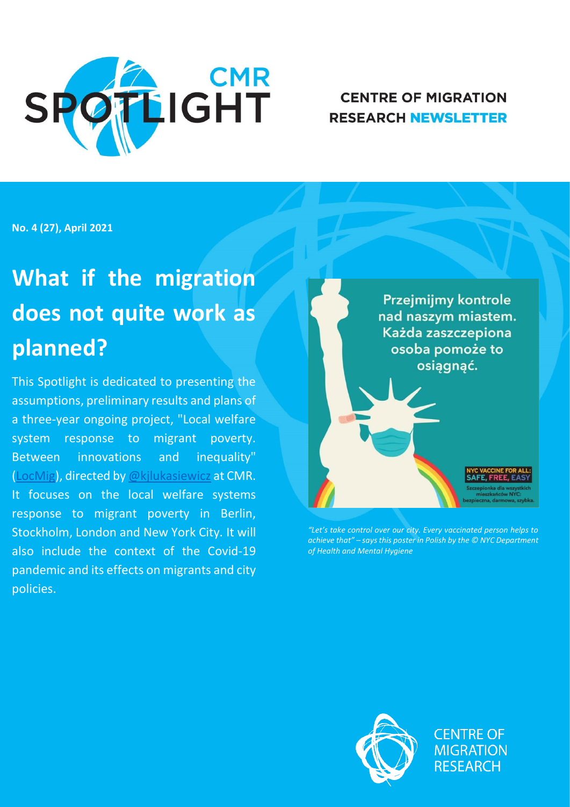

# **CENTRE OF MIGRATION RESEARCH NEWSLETTER**

**No. 4 (27), April 2021**

# **What if the migration does not quite work as planned?**

This Spotlight is dedicated to presenting the assumptions, preliminary results and plans of a three-year ongoing project, "Local welfare system response to migrant poverty. Between innovations and inequality" [\(LocMig\)](http://www.migracje.uw.edu.pl/projects/local-welfare-system-response-to-migrant-poverty-between-innovations-and-inequality/), directed by [@kjlukasiewicz](https://twitter.com/kjlukasiewicz) at CMR. It focuses on the local welfare systems response to migrant poverty in Berlin, Stockholm, London and New York City. It will also include the context of the Covid-19 pandemic and its effects on migrants and city policies.

Przejmijmy kontrole nad naszym miastem. Każda zaszczepiona osoba pomoże to osiągnąć.

*"Let's take control over our city. Every vaccinated person helps to achieve that" – says this poster in Polish by the © NYC Department of Health and Mental Hygiene*



**CENTRE OF MIGRATION RESEARCH**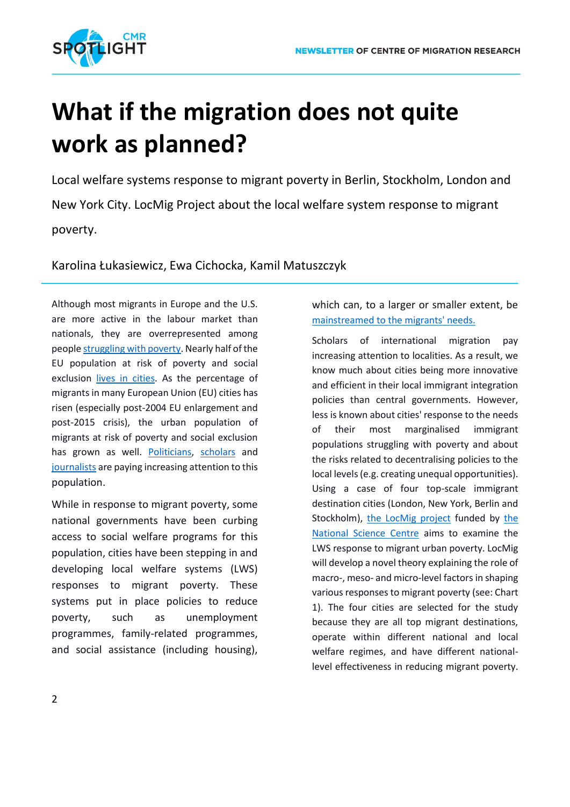

# **What if the migration does not quite work as planned?**

Local welfare systems response to migrant poverty in Berlin, Stockholm, London and New York City. LocMig Project about the local welfare system response to migrant poverty.

Karolina Łukasiewicz, Ewa Cichocka, Kamil Matuszczyk

Although most migrants in Europe and the U.S. are more active in the labour market than nationals, they are overrepresented among peopl[e struggling with poverty.](http://cite.gov.pt/pt/destaques/complementosDestqs2/Intra_EU_labour_mobility_2017.pdf) Nearly half of the EU population at risk of poverty and social exclusion [lives in cities.](https://ec.europa.eu/eurostat/statistics-explained/index.php?title=Migrant_integration_statistics_-_at_risk_of_poverty_and_social_exclusion) As the percentage of migrants in many European Union (EU) cities has risen (especially post-2004 EU enlargement and post-2015 crisis), the urban population of migrants at risk of poverty and social exclusion has grown as well. [Politicians,](https://www.feantsaresearch.org/download/12-1_a2_article_reichenbach_v02972066924845204480.pdf) [scholars](https://rowman.com/ISBN/9781785522932/Immigrants-and-Poverty-The-Role-of-Labour-Market-and-Welfare-State-Access) and [journalists](https://journals.sagepub.com/doi/abs/10.1177/1367549416682968) are paying increasing attention to this population.

While in response to migrant poverty, some national governments have been curbing access to social welfare programs for this population, cities have been stepping in and developing local welfare systems (LWS) responses to migrant poverty. These systems put in place policies to reduce poverty, such as unemployment programmes, family-related programmes, and social assistance (including housing),

which can, to a larger or smaller extent, be [mainstreamed to the migrants' needs.](https://www.routledge.com/The-Routledge-Handbook-of-the-Governance-of-Migration-and-Diversity-in/Caponio-Scholten-Zapata-Barrero/p/book/9780367733629)

Scholars of international migration pay increasing attention to localities. As a result, we know much about cities being more innovative and efficient in their local immigrant integration policies than central governments. However, less is known about cities' response to the needs of their most marginalised immigrant populations struggling with poverty and about the risks related to decentralising policies to the local levels (e.g. creating unequal opportunities). Using a case of four top-scale immigrant destination cities (London, New York, Berlin and Stockholm), [the LocMig project](http://www.migracje.uw.edu.pl/projects/local-welfare-system-response-to-migrant-poverty-between-innovations-and-inequality/) funded by [the](https://ncn.gov.pl/konkursy/wyniki/2020-05-18-opus18-preludium18-sonata15-preludium-bis1?language=en)  [National Science Centre](https://ncn.gov.pl/konkursy/wyniki/2020-05-18-opus18-preludium18-sonata15-preludium-bis1?language=en) aims to examine the LWS response to migrant urban poverty. LocMig will develop a novel theory explaining the role of macro-, meso- and micro-level factors in shaping various responses to migrant poverty (see: Chart 1). The four cities are selected for the study because they are all top migrant destinations, operate within different national and local welfare regimes, and have different nationallevel effectiveness in reducing migrant poverty.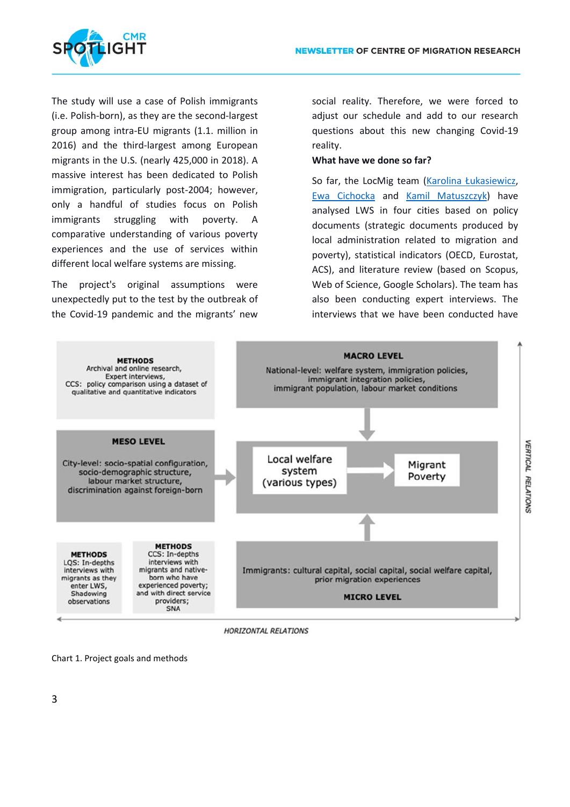

The study will use a case of Polish immigrants (i.e. Polish-born), as they are the second-largest group among intra-EU migrants (1.1. million in 2016) and the third-largest among European migrants in the U.S. (nearly 425,000 in 2018). A massive interest has been dedicated to Polish immigration, particularly post-2004; however, only a handful of studies focus on Polish immigrants struggling with poverty. A comparative understanding of various poverty experiences and the use of services within different local welfare systems are missing.

The project's original assumptions were unexpectedly put to the test by the outbreak of the Covid-19 pandemic and the migrants' new

social reality. Therefore, we were forced to adjust our schedule and add to our research questions about this new changing Covid-19 reality.

#### **What have we done so far?**

So far, the LocMig team ([Karolina Łukasiewicz](http://www.migracje.uw.edu.pl/zespol/karolina-lukasiewicz-4/), [Ewa Cichocka](http://www.migracje.uw.edu.pl/zespol/ewa-cichocka-2/) and [Kamil Matuszczyk\)](http://www.migracje.uw.edu.pl/zespol/kamil-matuszczyk/) have analysed LWS in four cities based on policy documents (strategic documents produced by local administration related to migration and poverty), statistical indicators (OECD, Eurostat, ACS), and literature review (based on Scopus, Web of Science, Google Scholars). The team has also been conducting expert interviews. The interviews that we have been conducted have



**HORIZONTAL RELATIONS** 

Chart 1. Project goals and methods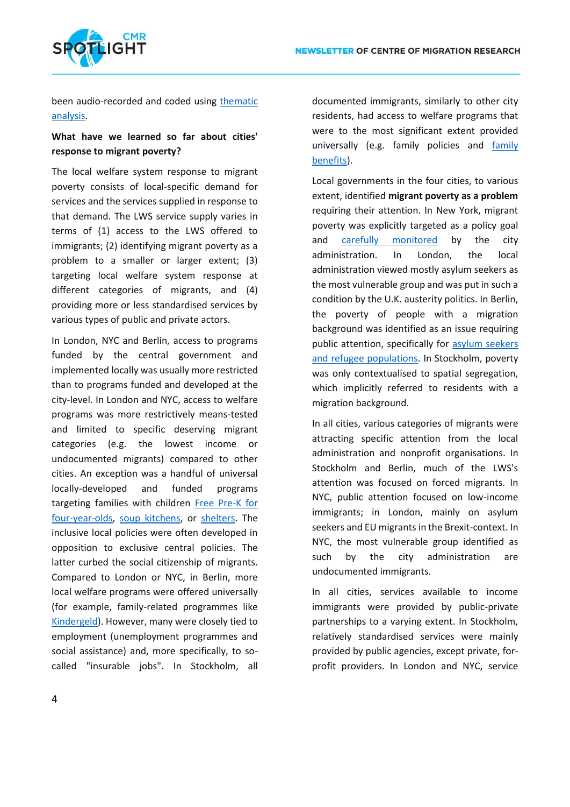

been audio-recorded and coded using [thematic](https://www.google.com/books/edition/Applied_Thematic_Analysis/Hr11DwAAQBAJ?hl=en&gbpv=0)  [analysis.](https://www.google.com/books/edition/Applied_Thematic_Analysis/Hr11DwAAQBAJ?hl=en&gbpv=0)

### **What have we learned so far about cities' response to migrant poverty?**

The local welfare system response to migrant poverty consists of local-specific demand for services and the services supplied in response to that demand. The LWS service supply varies in terms of (1) access to the LWS offered to immigrants; (2) identifying migrant poverty as a problem to a smaller or larger extent; (3) targeting local welfare system response at different categories of migrants, and (4) providing more or less standardised services by various types of public and private actors.

In London, NYC and Berlin, access to programs funded by the central government and implemented locally was usually more restricted than to programs funded and developed at the city-level. In London and NYC, access to welfare programs was more restrictively means-tested and limited to specific deserving migrant categories (e.g. the lowest income or undocumented migrants) compared to other cities. An exception was a handful of universal locally-developed and funded programs targeting families with children [Free Pre-K for](https://access.nyc.gov/programs/pre-k-for-all/)  [four-year-olds,](https://access.nyc.gov/programs/pre-k-for-all/) [soup kitchens,](https://soupkitchenlondon.org/) or [shelters.](https://www1.nyc.gov/site/dhs/shelter/shelter.page#:~:text=Governed%20by%20a%20unique%20right,eligible%20for%20services%2C%20every%20night.) The inclusive local policies were often developed in opposition to exclusive central policies. The latter curbed the social citizenship of migrants. Compared to London or NYC, in Berlin, more local welfare programs were offered universally (for example, family-related programmes like [Kindergeld\)](https://www.arbeitsagentur.de/familie-und-kinder/kindergeld-ausland). However, many were closely tied to employment (unemployment programmes and social assistance) and, more specifically, to socalled "insurable jobs". In Stockholm, all

documented immigrants, similarly to other city residents, had access to welfare programs that were to the most significant extent provided universally (e.g. family policies and [family](https://ec.europa.eu/social/main.jsp?catId=1130&langId=en&intPageId=4804)  [benefits\)](https://ec.europa.eu/social/main.jsp?catId=1130&langId=en&intPageId=4804).

Local governments in the four cities, to various extent, identified **migrant poverty as a problem** requiring their attention. In New York, migrant poverty was explicitly targeted as a policy goal and [carefully monitored](https://www1.nyc.gov/site/opportunity/reports/immigrant-economic-profile.page#:~:text=Immigrants%20comprise%2037.2%20percent%20of,percent%20of%20the%20labor%20force.&text=The%20foreign%2Dborn%20poverty%20rate,rate%20of%2034.8%20in%202013.) by the city administration. In London, the local administration viewed mostly asylum seekers as the most vulnerable group and was put in such a condition by the U.K. austerity politics. In Berlin, the poverty of people with a migration background was identified as an issue requiring public attention, specifically for [asylum seekers](https://www.infomigrants.net/en/post/21141/not-good-for-the-economy-german-official-warns-against-long-term-poverty-for-refugees-and-asylum-seekers)  [and refugee populations.](https://www.infomigrants.net/en/post/21141/not-good-for-the-economy-german-official-warns-against-long-term-poverty-for-refugees-and-asylum-seekers) In Stockholm, poverty was only contextualised to spatial segregation, which implicitly referred to residents with a migration background.

In all cities, various categories of migrants were attracting specific attention from the local administration and nonprofit organisations. In Stockholm and Berlin, much of the LWS's attention was focused on forced migrants. In NYC, public attention focused on low-income immigrants; in London, mainly on asylum seekers and EU migrants in the Brexit-context. In NYC, the most vulnerable group identified as such by the city administration are undocumented immigrants.

In all cities, services available to income immigrants were provided by public-private partnerships to a varying extent. In Stockholm, relatively standardised services were mainly provided by public agencies, except private, forprofit providers. In London and NYC, service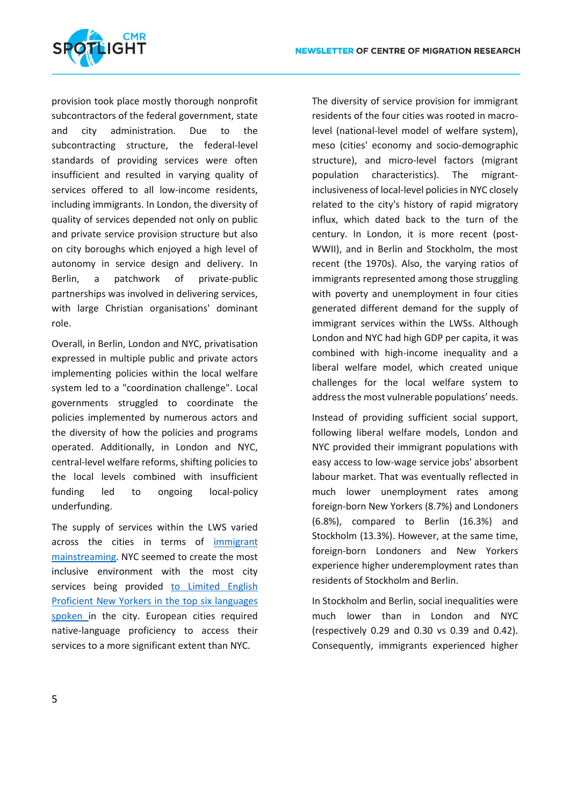

provision took place mostly thorough nonprofit subcontractors of the federal government, state and city administration. Due to the subcontracting structure, the federal-level standards of providing services were often insufficient and resulted in varying quality of services offered to all low-income residents, including immigrants. In London, the diversity of quality of services depended not only on public and private service provision structure but also on city boroughs which enjoyed a high level of autonomy in service design and delivery. In Berlin, a patchwork of private-public partnerships was involved in delivering services, with large Christian organisations' dominant role.

Overall, in Berlin, London and NYC, privatisation expressed in multiple public and private actors implementing policies within the local welfare system led to a "coordination challenge". Local governments struggled to coordinate the policies implemented by numerous actors and the diversity of how the policies and programs operated. Additionally, in London and NYC, central-level welfare reforms, shifting policies to the local levels combined with insufficient funding led to ongoing local-policy underfunding.

The supply of services within the LWS varied across the cities in terms of [immigrant](https://journals.sagepub.com/doi/full/10.1177/1468796818785658)  [mainstreaming.](https://journals.sagepub.com/doi/full/10.1177/1468796818785658) NYC seemed to create the most inclusive environment with the most city services being provided [to Limited English](https://www1.nyc.gov/site/operations/projects/language-access-services.page)  [Proficient New Yorkers in the top six languages](https://www1.nyc.gov/site/operations/projects/language-access-services.page)  [spoken i](https://www1.nyc.gov/site/operations/projects/language-access-services.page)n the city. European cities required native-language proficiency to access their services to a more significant extent than NYC.

The diversity of service provision for immigrant residents of the four cities was rooted in macrolevel (national-level model of welfare system), meso (cities' economy and socio-demographic structure), and micro-level factors (migrant population characteristics). The migrantinclusiveness of local-level policies in NYC closely related to the city's history of rapid migratory influx, which dated back to the turn of the century. In London, it is more recent (post-WWII), and in Berlin and Stockholm, the most recent (the 1970s). Also, the varying ratios of immigrants represented among those struggling with poverty and unemployment in four cities generated different demand for the supply of immigrant services within the LWSs. Although London and NYC had high GDP per capita, it was combined with high-income inequality and a liberal welfare model, which created unique challenges for the local welfare system to address the most vulnerable populations' needs.

Instead of providing sufficient social support, following liberal welfare models, London and NYC provided their immigrant populations with easy access to low-wage service jobs' absorbent labour market. That was eventually reflected in much lower unemployment rates among foreign-born New Yorkers (8.7%) and Londoners (6.8%), compared to Berlin (16.3%) and Stockholm (13.3%). However, at the same time, foreign-born Londoners and New Yorkers experience higher underemployment rates than residents of Stockholm and Berlin.

In Stockholm and Berlin, social inequalities were much lower than in London and NYC (respectively 0.29 and 0.30 vs 0.39 and 0.42). Consequently, immigrants experienced higher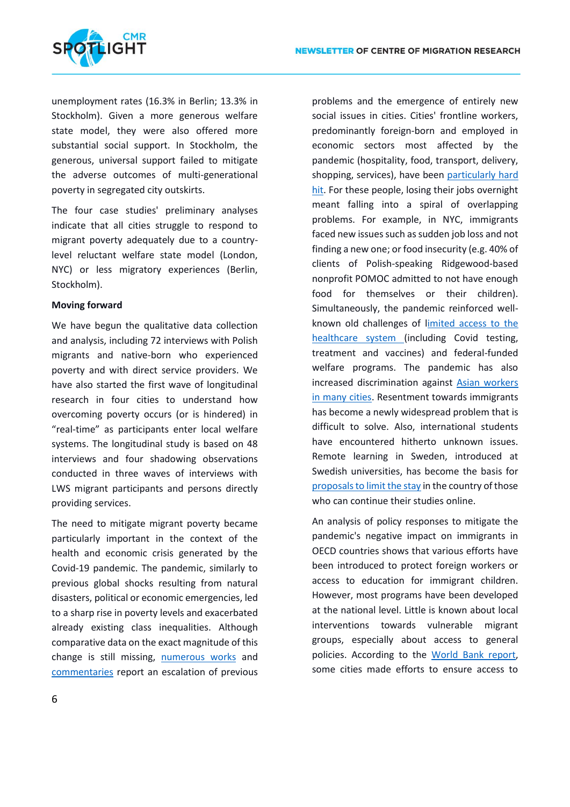

unemployment rates (16.3% in Berlin; 13.3% in Stockholm). Given a more generous welfare state model, they were also offered more substantial social support. In Stockholm, the generous, universal support failed to mitigate the adverse outcomes of multi-generational poverty in segregated city outskirts.

The four case studies' preliminary analyses indicate that all cities struggle to respond to migrant poverty adequately due to a countrylevel reluctant welfare state model (London, NYC) or less migratory experiences (Berlin, Stockholm).

### **Moving forward**

We have begun the qualitative data collection and analysis, including 72 interviews with Polish migrants and native-born who experienced poverty and with direct service providers. We have also started the first wave of longitudinal research in four cities to understand how overcoming poverty occurs (or is hindered) in "real-time" as participants enter local welfare systems. The longitudinal study is based on 48 interviews and four shadowing observations conducted in three waves of interviews with LWS migrant participants and persons directly providing services.

The need to mitigate migrant poverty became particularly important in the context of the health and economic crisis generated by the Covid-19 pandemic. The pandemic, similarly to previous global shocks resulting from natural disasters, political or economic emergencies, led to a sharp rise in poverty levels and exacerbated already existing class inequalities. Although comparative data on the exact magnitude of this change is still missing, [numerous works](https://journals.sagepub.com/doi/full/10.1177/2516602620933715) and [commentaries](https://onlinelibrary.wiley.com/doi/10.1111/imig.12748) report an escalation of previous

problems and the emergence of entirely new social issues in cities. Cities' frontline workers, predominantly foreign-born and employed in economic sectors most affected by the pandemic (hospitality, food, transport, delivery, shopping, services), have been [particularly hard](https://nycfuture.org/research/under-threat-and-left-out)  [hit.](https://nycfuture.org/research/under-threat-and-left-out) For these people, losing their jobs overnight meant falling into a spiral of overlapping problems. For example, in NYC, immigrants faced new issues such as sudden job loss and not finding a new one; or food insecurity (e.g. 40% of clients of Polish-speaking Ridgewood-based nonprofit POMOC admitted to not have enough food for themselves or their children). Simultaneously, the pandemic reinforced wellknown old challenges of [limited access to the](https://cmsny.org/wp-content/uploads/2021/02/Mapping-Key-Health-Determinants-for-Immigrants-Report-Center-for-Migration-Studies.pdf)  [healthcare system \(](https://cmsny.org/wp-content/uploads/2021/02/Mapping-Key-Health-Determinants-for-Immigrants-Report-Center-for-Migration-Studies.pdf)including Covid testing, treatment and vaccines) and federal-funded welfare programs. The pandemic has also increased discrimination against [Asian workers](https://link.springer.com/article/10.1007/s12103-020-09541-5) [in many cities.](https://onlinelibrary.wiley.com/doi/full/10.1111/soc4.12849) Resentment towards immigrants has become a newly widespread problem that is difficult to solve. Also, international students have encountered hitherto unknown issues. Remote learning in Sweden, introduced at Swedish universities, has become the basis for [proposals to limit the stay](https://www.compas.ox.ac.uk/2020/the-swedish-migration-agency-and-immobility-precariousness-during-covid-19-deportability-the-threat-to-public-health/) in the country of those who can continue their studies online.

An analysis of policy responses to mitigate the pandemic's negative impact on immigrants in OECD countries shows that various efforts have been introduced to protect foreign workers or access to education for immigrant children. However, most programs have been developed at the national level. Little is known about local interventions towards vulnerable migrant groups, especially about access to general policies. According to the [World Bank report,](http://pubdocs.worldbank.org/en/219201603736148328/Oct26-Response-to-COVID-in-Slums.pdf) some cities made efforts to ensure access to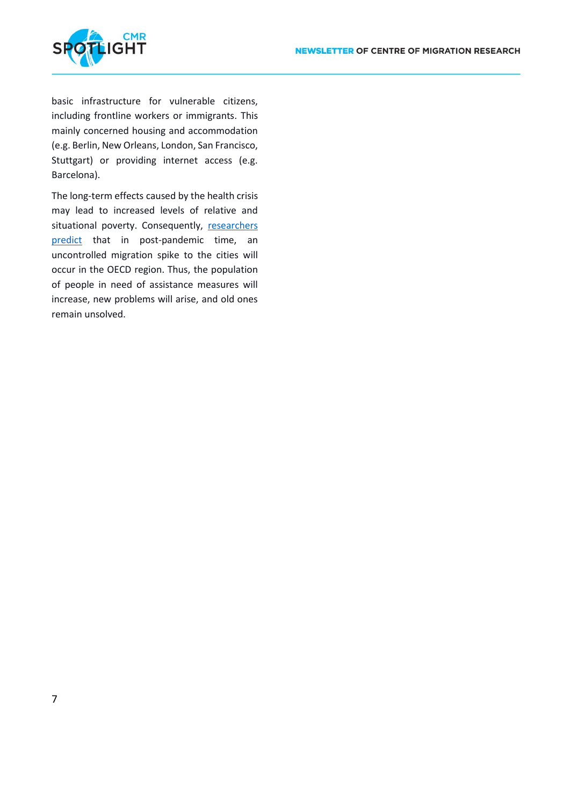

basic infrastructure for vulnerable citizens, including frontline workers or immigrants. This mainly concerned housing and accommodation (e.g. Berlin, New Orleans, London, San Francisco, Stuttgart) or providing internet access (e.g. Barcelona).

The long-term effects caused by the health crisis may lead to increased levels of relative and situational poverty. Consequently, [researchers](https://journals.sagepub.com/doi/full/10.1177/0197918320968754)  [predict](https://journals.sagepub.com/doi/full/10.1177/0197918320968754) that in post-pandemic time, an uncontrolled migration spike to the cities will occur in the OECD region. Thus, the population of people in need of assistance measures will increase, new problems will arise, and old ones remain unsolved.